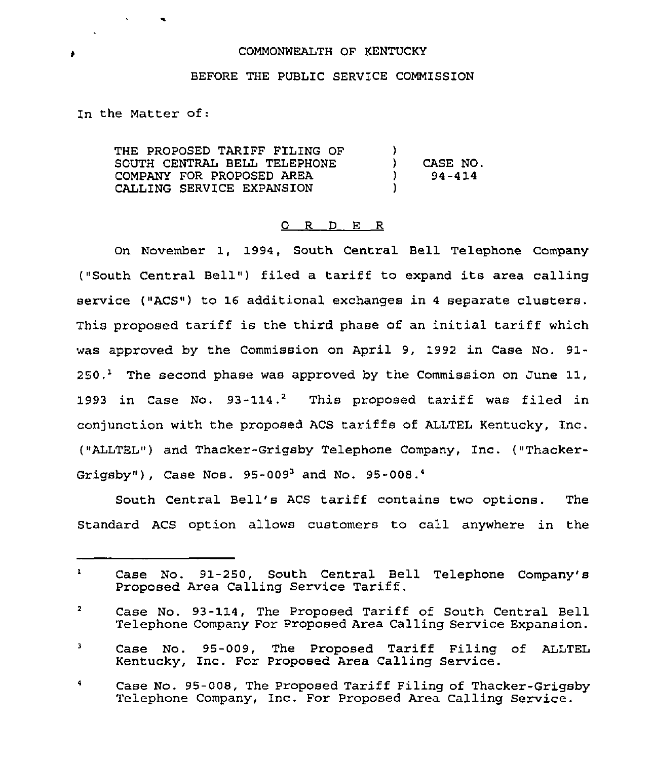## COMMONWEALTH OF KENTUCKY

## BEFORE THE PUBLIC SERVICE COMMISSION

In the Matter of:

 $\mathbf{v} = \mathbf{v}$ 

THE PROPOSED TARIFF FILING OF SOUTH CENTRAL BELL TELEPHONE COMPANY FOR PROPOSED AREA CALLING SERVICE EXPANSION  $\left\{ \begin{array}{c} 1 \\ 2 \end{array} \right\}$ ) CASE NO.<br> $94-414$ ) 94-414 )

## 0 R <sup>D</sup> E R

On November 1, 1994, South Central Bell Telephone Company ("South Central Bell") filed a tariff to expand its area calling service ("ACS") to 16 additional exchanges in <sup>4</sup> separate clusters. This proposed tariff is the third phase of an initial tariff which was approved by the Commission on April 9, 1992 in Case No. 91-  $250.$ <sup>1</sup> The second phase was approved by the Commission on June 11, 1993 in Case No.  $93-114.^2$  This proposed tariff was filed in conjunction with the proposed ACS tariffs of ALLTEL Kentucky, Inc. ("ALLTEL") and Thacker-Grigsby Telephone Company, Inc. ("Thacker-Grigsby"), Case Nos.  $95-009^3$  and No.  $95-008.^4$ 

South Central Bell's ACS tariff contains two options. The Standard ACS option allows customers to call anywhere in the

٠

 $\mathbf{1}$ Case No. 91-250, South Central Bell Telephone Company's Proposed Area Calling Service Tariff.

 $\overline{\mathbf{2}}$ Case No. 93-114, The Proposed Tariff of South Central Bell Telephone Company For Proposed Area Calling Service Expansion.

Case No. 95-009, The Proposed Tariff Filing of ALLTEL  $\overline{\mathbf{3}}$ Kentucky, Inc. For Proposed Area Calling Service.

 $\blacktriangleleft$ Case No. 95-008, The Proposed Tariff Filing of Thacker-Grigsby Telephone Company, Inc. For Proposed Area Calling Service.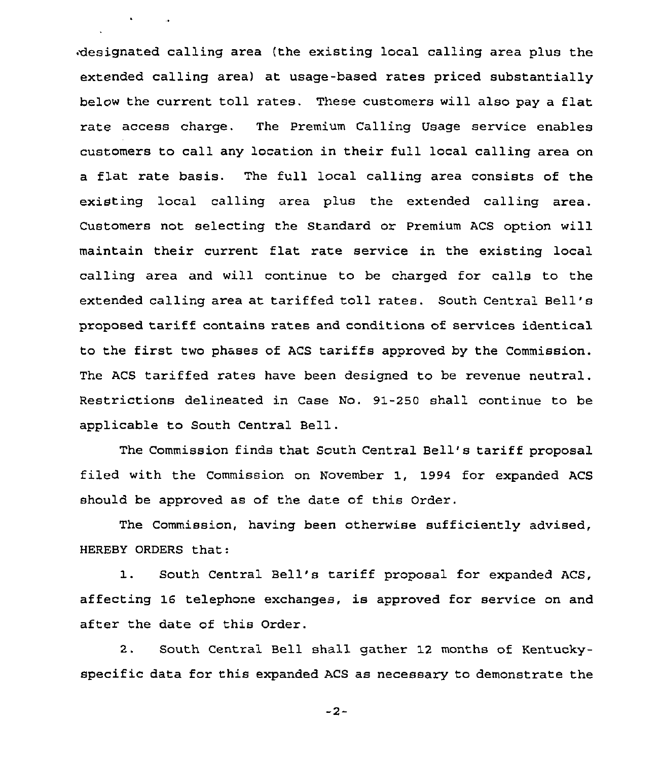designated calling area (the existing local calling area plus the extended calling area) at usage-based rates priced substantially below the current toll rates. These customers will also pay a flat rate access charge. The Premium Calling Usage service enables customers to call any location in their full local calling area on a flat rate basis. The full local calling area consists of the existing local calling area plus the extended calling area. Customers not selecting the Standard or Premium ACS option will maintain their current flat rate service in the existing local calling area and will continue to be charged for calls to the extended calling area at tariffed toll rates. South Central Bell's proposed tariff contains rates and conditions of services identical to the first two phases of ACS tariffs approved by the Commission. The ACS tariffed rates have been designed to be revenue neutral. Restrictions delineated in Case No. 91-250 shall continue to be applicable to South Central Bell.

 $\bullet$  -  $\bullet$  -  $\bullet$  -  $\bullet$ 

The Commission finds that South Central Bell's tariff proposal filed with the Commission on November 1, 1994 for expanded ACS should be approved as of the date of this Order.

The Commission, having been otherwise sufficiently advised, HEREBY ORDERS that:

1. South Central Bell's tariff proposal for expanded ACS, affecting 16 telephone exchanges, is approved for service on and after the date of this Order.

2. South Central Bell shall gather 12 months of Kentuckyspecific data for this expanded ACS as necessary to demonstrate the

 $-2-$